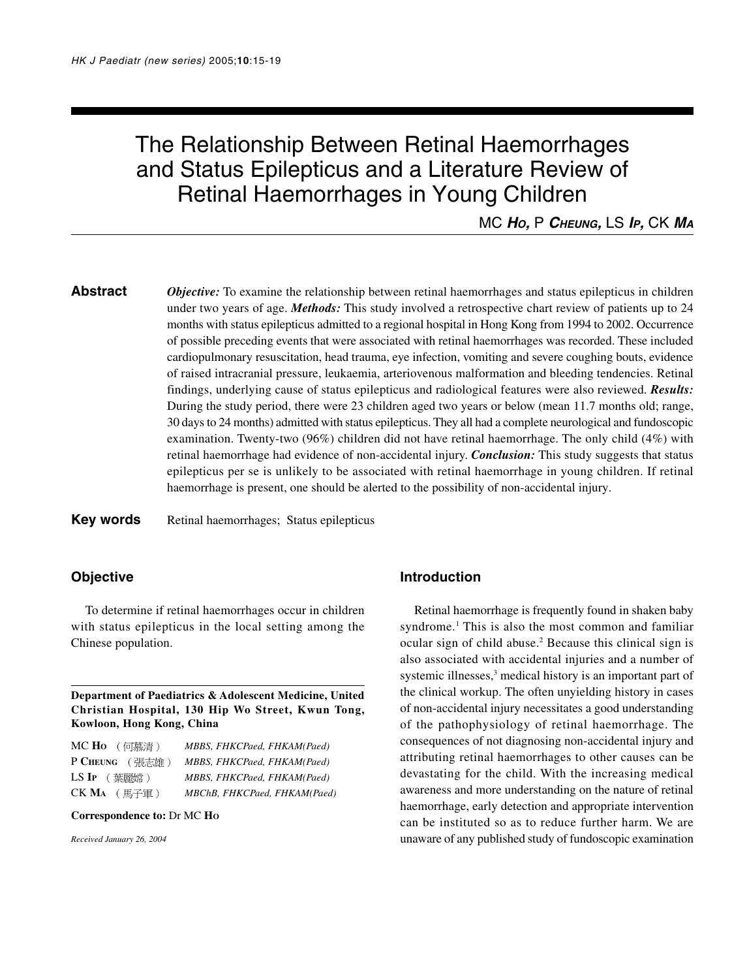# The Relationship Between Retinal Haemorrhages and Status Epilepticus and a Literature Review of Retinal Haemorrhages in Young Children

MC **HO,** P **CHEUNG,** LS **I<sup>P</sup>,** CK **M<sup>A</sup>**

**Abstract** *Objective:* To examine the relationship between retinal haemorrhages and status epilepticus in children under two years of age. *Methods:* This study involved a retrospective chart review of patients up to 24 months with status epilepticus admitted to a regional hospital in Hong Kong from 1994 to 2002. Occurrence of possible preceding events that were associated with retinal haemorrhages was recorded. These included cardiopulmonary resuscitation, head trauma, eye infection, vomiting and severe coughing bouts, evidence of raised intracranial pressure, leukaemia, arteriovenous malformation and bleeding tendencies. Retinal findings, underlying cause of status epilepticus and radiological features were also reviewed. *Results:* During the study period, there were 23 children aged two years or below (mean 11.7 months old; range, 30 days to 24 months) admitted with status epilepticus. They all had a complete neurological and fundoscopic examination. Twenty-two (96%) children did not have retinal haemorrhage. The only child (4%) with retinal haemorrhage had evidence of non-accidental injury. *Conclusion:* This study suggests that status epilepticus per se is unlikely to be associated with retinal haemorrhage in young children. If retinal haemorrhage is present, one should be alerted to the possibility of non-accidental injury.

# **Key words** Retinal haemorrhages; Status epilepticus

## **Objective**

To determine if retinal haemorrhages occur in children with status epilepticus in the local setting among the Chinese population.

### **Department of Paediatrics & Adolescent Medicine, United Christian Hospital, 130 Hip Wo Street, Kwun Tong, Kowloon, Hong Kong, China**

| $MC$ Ho $(An$ 慕清 ) | MBBS, FHKCPaed, FHKAM(Paed)  |  |  |
|--------------------|------------------------------|--|--|
| P CHEUNG (張志雄)     | MBBS, FHKCPaed, FHKAM(Paed)  |  |  |
| $LS$ Ip ( 葉麗嫦 )    | MBBS, FHKCPaed, FHKAM(Paed)  |  |  |
| $CK M_A$ (馬子軍)     | MBChB. FHKCPaed. FHKAM(Paed) |  |  |

#### **Correspondence to:** Dr MC **HO**

*Received January 26, 2004*

#### **Introduction**

Retinal haemorrhage is frequently found in shaken baby syndrome.<sup>1</sup> This is also the most common and familiar ocular sign of child abuse.<sup>2</sup> Because this clinical sign is also associated with accidental injuries and a number of systemic illnesses,<sup>3</sup> medical history is an important part of the clinical workup. The often unyielding history in cases of non-accidental injury necessitates a good understanding of the pathophysiology of retinal haemorrhage. The consequences of not diagnosing non-accidental injury and attributing retinal haemorrhages to other causes can be devastating for the child. With the increasing medical awareness and more understanding on the nature of retinal haemorrhage, early detection and appropriate intervention can be instituted so as to reduce further harm. We are unaware of any published study of fundoscopic examination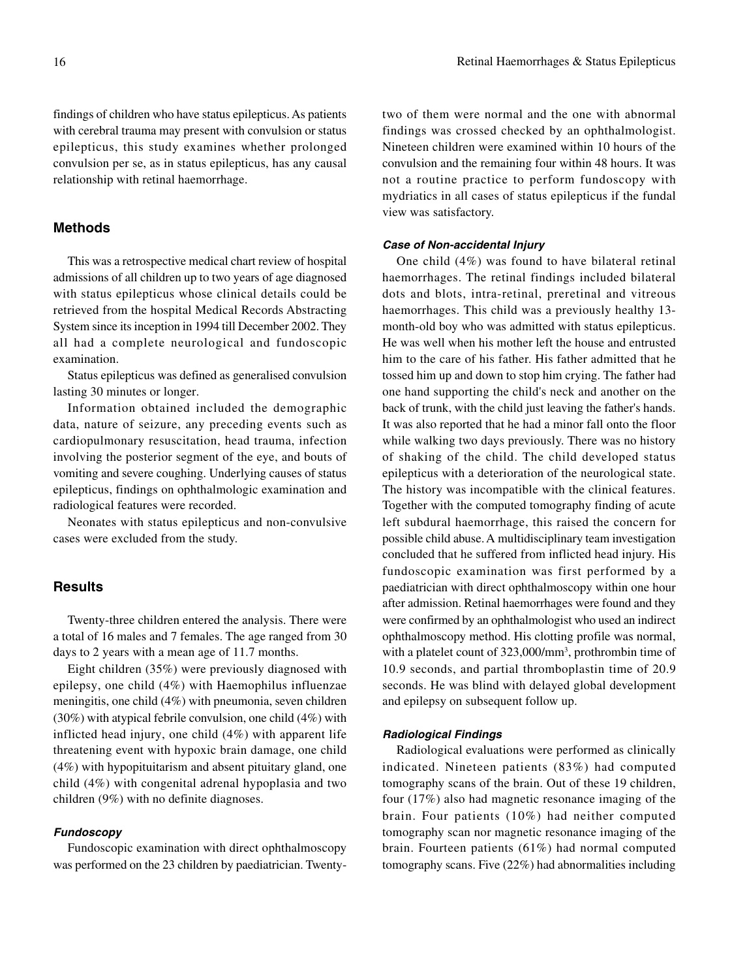findings of children who have status epilepticus. As patients with cerebral trauma may present with convulsion or status epilepticus, this study examines whether prolonged convulsion per se, as in status epilepticus, has any causal relationship with retinal haemorrhage.

# **Methods**

This was a retrospective medical chart review of hospital admissions of all children up to two years of age diagnosed with status epilepticus whose clinical details could be retrieved from the hospital Medical Records Abstracting System since its inception in 1994 till December 2002. They all had a complete neurological and fundoscopic examination.

Status epilepticus was defined as generalised convulsion lasting 30 minutes or longer.

Information obtained included the demographic data, nature of seizure, any preceding events such as cardiopulmonary resuscitation, head trauma, infection involving the posterior segment of the eye, and bouts of vomiting and severe coughing. Underlying causes of status epilepticus, findings on ophthalmologic examination and radiological features were recorded.

Neonates with status epilepticus and non-convulsive cases were excluded from the study.

# **Results**

Twenty-three children entered the analysis. There were a total of 16 males and 7 females. The age ranged from 30 days to 2 years with a mean age of 11.7 months.

Eight children (35%) were previously diagnosed with epilepsy, one child (4%) with Haemophilus influenzae meningitis, one child (4%) with pneumonia, seven children (30%) with atypical febrile convulsion, one child (4%) with inflicted head injury, one child (4%) with apparent life threatening event with hypoxic brain damage, one child (4%) with hypopituitarism and absent pituitary gland, one child (4%) with congenital adrenal hypoplasia and two children (9%) with no definite diagnoses.

# **Fundoscopy**

Fundoscopic examination with direct ophthalmoscopy was performed on the 23 children by paediatrician. Twentytwo of them were normal and the one with abnormal findings was crossed checked by an ophthalmologist. Nineteen children were examined within 10 hours of the convulsion and the remaining four within 48 hours. It was not a routine practice to perform fundoscopy with mydriatics in all cases of status epilepticus if the fundal view was satisfactory.

#### **Case of Non-accidental Injury**

One child (4%) was found to have bilateral retinal haemorrhages. The retinal findings included bilateral dots and blots, intra-retinal, preretinal and vitreous haemorrhages. This child was a previously healthy 13 month-old boy who was admitted with status epilepticus. He was well when his mother left the house and entrusted him to the care of his father. His father admitted that he tossed him up and down to stop him crying. The father had one hand supporting the child's neck and another on the back of trunk, with the child just leaving the father's hands. It was also reported that he had a minor fall onto the floor while walking two days previously. There was no history of shaking of the child. The child developed status epilepticus with a deterioration of the neurological state. The history was incompatible with the clinical features. Together with the computed tomography finding of acute left subdural haemorrhage, this raised the concern for possible child abuse. A multidisciplinary team investigation concluded that he suffered from inflicted head injury. His fundoscopic examination was first performed by a paediatrician with direct ophthalmoscopy within one hour after admission. Retinal haemorrhages were found and they were confirmed by an ophthalmologist who used an indirect ophthalmoscopy method. His clotting profile was normal, with a platelet count of 323,000/mm<sup>3</sup>, prothrombin time of 10.9 seconds, and partial thromboplastin time of 20.9 seconds. He was blind with delayed global development and epilepsy on subsequent follow up.

#### **Radiological Findings**

Radiological evaluations were performed as clinically indicated. Nineteen patients (83%) had computed tomography scans of the brain. Out of these 19 children, four (17%) also had magnetic resonance imaging of the brain. Four patients (10%) had neither computed tomography scan nor magnetic resonance imaging of the brain. Fourteen patients (61%) had normal computed tomography scans. Five (22%) had abnormalities including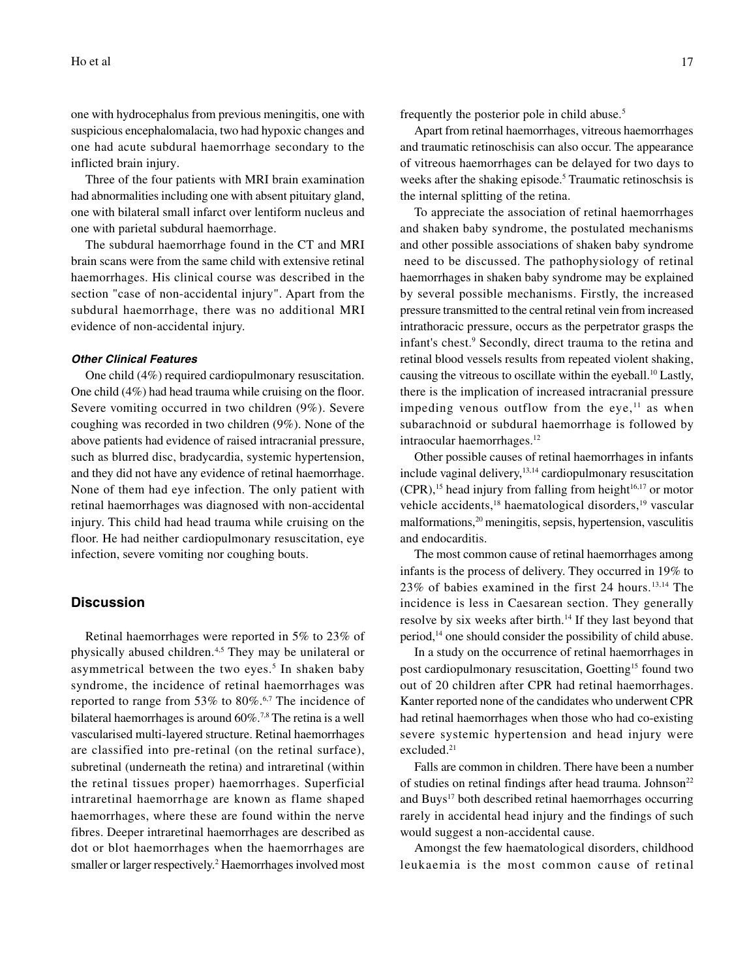one with hydrocephalus from previous meningitis, one with suspicious encephalomalacia, two had hypoxic changes and one had acute subdural haemorrhage secondary to the inflicted brain injury.

Three of the four patients with MRI brain examination had abnormalities including one with absent pituitary gland, one with bilateral small infarct over lentiform nucleus and one with parietal subdural haemorrhage.

The subdural haemorrhage found in the CT and MRI brain scans were from the same child with extensive retinal haemorrhages. His clinical course was described in the section "case of non-accidental injury". Apart from the subdural haemorrhage, there was no additional MRI evidence of non-accidental injury.

#### **Other Clinical Features**

One child (4%) required cardiopulmonary resuscitation. One child (4%) had head trauma while cruising on the floor. Severe vomiting occurred in two children (9%). Severe coughing was recorded in two children (9%). None of the above patients had evidence of raised intracranial pressure, such as blurred disc, bradycardia, systemic hypertension, and they did not have any evidence of retinal haemorrhage. None of them had eye infection. The only patient with retinal haemorrhages was diagnosed with non-accidental injury. This child had head trauma while cruising on the floor. He had neither cardiopulmonary resuscitation, eye infection, severe vomiting nor coughing bouts.

# **Discussion**

Retinal haemorrhages were reported in 5% to 23% of physically abused children.4,5 They may be unilateral or asymmetrical between the two eyes.<sup>5</sup> In shaken baby syndrome, the incidence of retinal haemorrhages was reported to range from 53% to 80%.<sup>6,7</sup> The incidence of bilateral haemorrhages is around 60%.7,8 The retina is a well vascularised multi-layered structure. Retinal haemorrhages are classified into pre-retinal (on the retinal surface), subretinal (underneath the retina) and intraretinal (within the retinal tissues proper) haemorrhages. Superficial intraretinal haemorrhage are known as flame shaped haemorrhages, where these are found within the nerve fibres. Deeper intraretinal haemorrhages are described as dot or blot haemorrhages when the haemorrhages are smaller or larger respectively.<sup>2</sup> Haemorrhages involved most

frequently the posterior pole in child abuse.5

Apart from retinal haemorrhages, vitreous haemorrhages and traumatic retinoschisis can also occur. The appearance of vitreous haemorrhages can be delayed for two days to weeks after the shaking episode.<sup>5</sup> Traumatic retinoschsis is the internal splitting of the retina.

To appreciate the association of retinal haemorrhages and shaken baby syndrome, the postulated mechanisms and other possible associations of shaken baby syndrome need to be discussed. The pathophysiology of retinal haemorrhages in shaken baby syndrome may be explained by several possible mechanisms. Firstly, the increased pressure transmitted to the central retinal vein from increased intrathoracic pressure, occurs as the perpetrator grasps the infant's chest.<sup>9</sup> Secondly, direct trauma to the retina and retinal blood vessels results from repeated violent shaking, causing the vitreous to oscillate within the eyeball.10 Lastly, there is the implication of increased intracranial pressure impeding venous outflow from the eye, $<sup>11</sup>$  as when</sup> subarachnoid or subdural haemorrhage is followed by intraocular haemorrhages.<sup>12</sup>

Other possible causes of retinal haemorrhages in infants include vaginal delivery, $13,14$  cardiopulmonary resuscitation  $(CPR)$ ,<sup>15</sup> head injury from falling from height<sup>16,17</sup> or motor vehicle accidents,<sup>18</sup> haematological disorders,<sup>19</sup> vascular malformations,20 meningitis, sepsis, hypertension, vasculitis and endocarditis.

The most common cause of retinal haemorrhages among infants is the process of delivery. They occurred in 19% to 23% of babies examined in the first 24 hours.13,14 The incidence is less in Caesarean section. They generally resolve by six weeks after birth.14 If they last beyond that period,<sup>14</sup> one should consider the possibility of child abuse.

In a study on the occurrence of retinal haemorrhages in post cardiopulmonary resuscitation, Goetting<sup>15</sup> found two out of 20 children after CPR had retinal haemorrhages. Kanter reported none of the candidates who underwent CPR had retinal haemorrhages when those who had co-existing severe systemic hypertension and head injury were excluded.21

Falls are common in children. There have been a number of studies on retinal findings after head trauma. Johnson<sup>22</sup> and Buys<sup>17</sup> both described retinal haemorrhages occurring rarely in accidental head injury and the findings of such would suggest a non-accidental cause.

Amongst the few haematological disorders, childhood leukaemia is the most common cause of retinal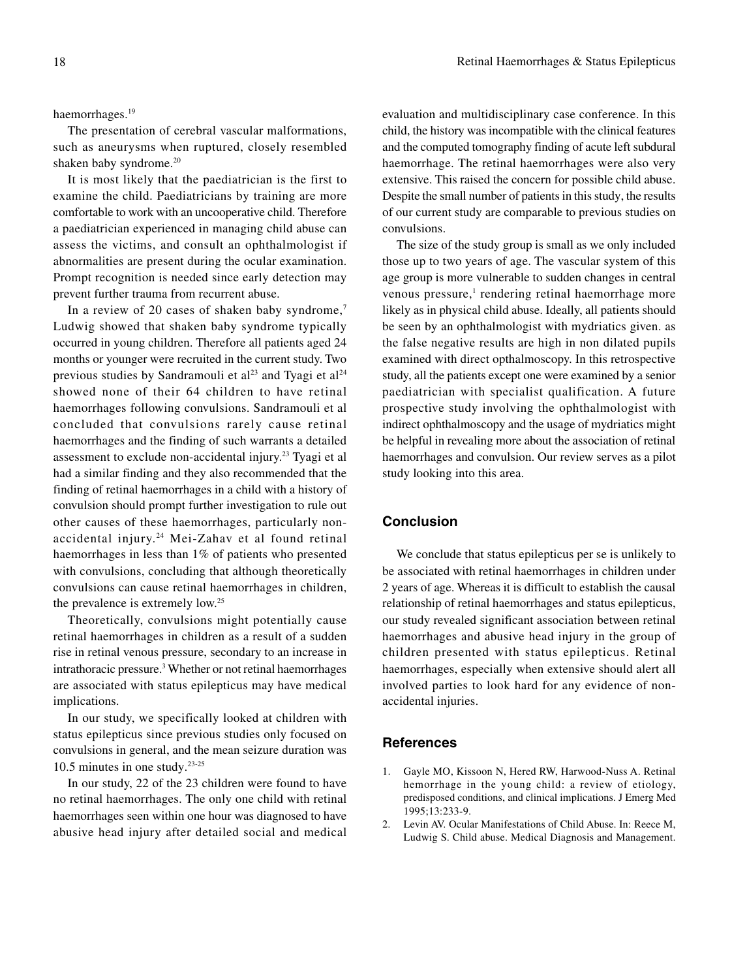#### haemorrhages.<sup>19</sup>

The presentation of cerebral vascular malformations, such as aneurysms when ruptured, closely resembled shaken baby syndrome.<sup>20</sup>

It is most likely that the paediatrician is the first to examine the child. Paediatricians by training are more comfortable to work with an uncooperative child. Therefore a paediatrician experienced in managing child abuse can assess the victims, and consult an ophthalmologist if abnormalities are present during the ocular examination. Prompt recognition is needed since early detection may prevent further trauma from recurrent abuse.

In a review of 20 cases of shaken baby syndrome,<sup>7</sup> Ludwig showed that shaken baby syndrome typically occurred in young children. Therefore all patients aged 24 months or younger were recruited in the current study. Two previous studies by Sandramouli et  $al^{23}$  and Tyagi et  $al^{24}$ showed none of their 64 children to have retinal haemorrhages following convulsions. Sandramouli et al concluded that convulsions rarely cause retinal haemorrhages and the finding of such warrants a detailed assessment to exclude non-accidental injury.23 Tyagi et al had a similar finding and they also recommended that the finding of retinal haemorrhages in a child with a history of convulsion should prompt further investigation to rule out other causes of these haemorrhages, particularly nonaccidental injury.24 Mei-Zahav et al found retinal haemorrhages in less than 1% of patients who presented with convulsions, concluding that although theoretically convulsions can cause retinal haemorrhages in children, the prevalence is extremely low.25

Theoretically, convulsions might potentially cause retinal haemorrhages in children as a result of a sudden rise in retinal venous pressure, secondary to an increase in intrathoracic pressure.3 Whether or not retinal haemorrhages are associated with status epilepticus may have medical implications.

In our study, we specifically looked at children with status epilepticus since previous studies only focused on convulsions in general, and the mean seizure duration was 10.5 minutes in one study.23-25

In our study, 22 of the 23 children were found to have no retinal haemorrhages. The only one child with retinal haemorrhages seen within one hour was diagnosed to have abusive head injury after detailed social and medical evaluation and multidisciplinary case conference. In this child, the history was incompatible with the clinical features and the computed tomography finding of acute left subdural haemorrhage. The retinal haemorrhages were also very extensive. This raised the concern for possible child abuse. Despite the small number of patients in this study, the results of our current study are comparable to previous studies on convulsions.

The size of the study group is small as we only included those up to two years of age. The vascular system of this age group is more vulnerable to sudden changes in central venous pressure,<sup>1</sup> rendering retinal haemorrhage more likely as in physical child abuse. Ideally, all patients should be seen by an ophthalmologist with mydriatics given. as the false negative results are high in non dilated pupils examined with direct opthalmoscopy. In this retrospective study, all the patients except one were examined by a senior paediatrician with specialist qualification. A future prospective study involving the ophthalmologist with indirect ophthalmoscopy and the usage of mydriatics might be helpful in revealing more about the association of retinal haemorrhages and convulsion. Our review serves as a pilot study looking into this area.

# **Conclusion**

We conclude that status epilepticus per se is unlikely to be associated with retinal haemorrhages in children under 2 years of age. Whereas it is difficult to establish the causal relationship of retinal haemorrhages and status epilepticus, our study revealed significant association between retinal haemorrhages and abusive head injury in the group of children presented with status epilepticus. Retinal haemorrhages, especially when extensive should alert all involved parties to look hard for any evidence of nonaccidental injuries.

#### **References**

- 1. Gayle MO, Kissoon N, Hered RW, Harwood-Nuss A. Retinal hemorrhage in the young child: a review of etiology, predisposed conditions, and clinical implications. J Emerg Med 1995;13:233-9.
- 2. Levin AV. Ocular Manifestations of Child Abuse. In: Reece M, Ludwig S. Child abuse. Medical Diagnosis and Management.